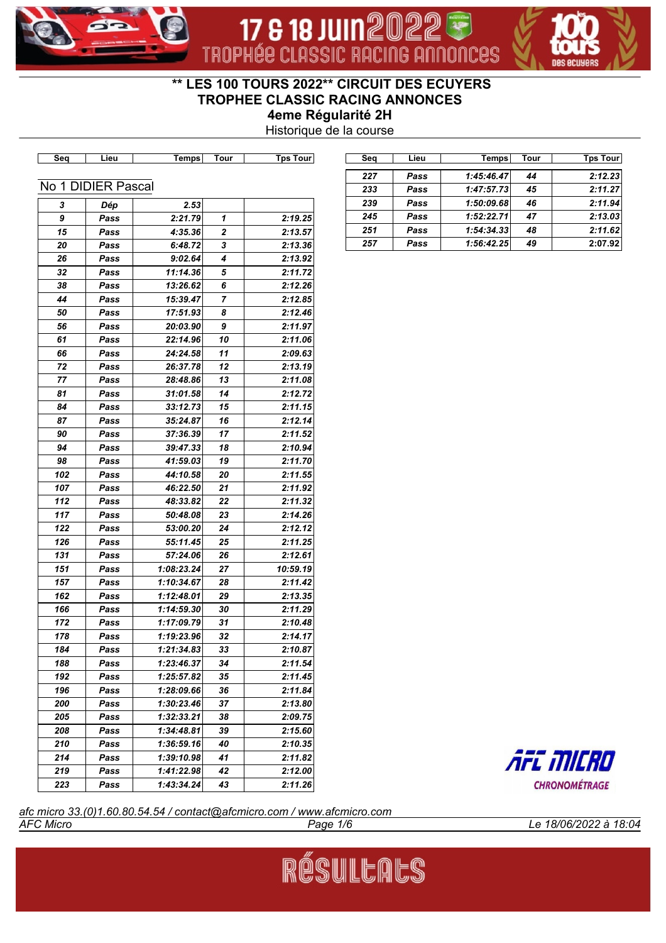

# 17 & 18 JUIN 202 TROPHÉE CLASSIC RACING ANNONCES



# **\*\* LES 100 TOURS 2022\*\* CIRCUIT DES ECUYERS TROPHEE CLASSIC RACING ANNONCES**

**4eme Régularité 2H**

Historique de la course

| Seq   | Lieu               | <b>Temps</b> | Tour           | <b>Tps Tour</b> | Seq | Lieu | <b>Temps</b> | Tour | <b>Tps Tour</b>      |
|-------|--------------------|--------------|----------------|-----------------|-----|------|--------------|------|----------------------|
|       |                    |              |                |                 | 227 | Pass | 1:45:46.47   | 44   | 2:12.23              |
|       | No 1 DIDIER Pascal |              |                |                 | 233 | Pass | 1:47:57.73   | 45   | 2:11.27              |
| 3     | Dép                | 2.53         |                |                 | 239 | Pass | 1:50:09.68   | 46   | 2:11.94              |
| 9     | Pass               | 2:21.79      | 1              | 2:19.25         | 245 | Pass | 1:52:22.71   | 47   | 2:13.03              |
| 15    | Pass               | 4:35.36      | 2              | 2:13.57         | 251 | Pass | 1:54:34.33   | 48   | 2:11.62              |
| 20    | Pass               | 6:48.72      | 3              | 2:13.36         | 257 | Pass | 1:56:42.25   | 49   | 2:07.92              |
| 26    | Pass               | 9:02.64      | 4              | 2:13.92         |     |      |              |      |                      |
| 32    | Pass               | 11:14.36     | 5              | 2:11.72         |     |      |              |      |                      |
| 38    | Pass               | 13:26.62     | 6              | 2:12.26         |     |      |              |      |                      |
| 44    | Pass               | 15:39.47     | $\overline{7}$ | 2:12.85         |     |      |              |      |                      |
| 50    | Pass               | 17:51.93     | 8              | 2:12.46         |     |      |              |      |                      |
| 56    | Pass               | 20:03.90     | 9              | 2:11.97         |     |      |              |      |                      |
| 61    | Pass               | 22:14.96     | 10             | 2:11.06         |     |      |              |      |                      |
| 66    | Pass               | 24:24.58     | 11             | 2:09.63         |     |      |              |      |                      |
| 72    | Pass               | 26:37.78     | 12             | 2:13.19         |     |      |              |      |                      |
| 77    | Pass               | 28:48.86     | 13             | 2:11.08         |     |      |              |      |                      |
| 81    | Pass               | 31:01.58     | 14             | 2:12.72         |     |      |              |      |                      |
| 84    | Pass               | 33:12.73     | 15             | 2:11.15         |     |      |              |      |                      |
| 87    | Pass               | 35:24.87     | 16             | 2:12.14         |     |      |              |      |                      |
| 90    | Pass               | 37:36.39     | 17             | 2:11.52         |     |      |              |      |                      |
| 94    | Pass               | 39:47.33     | 18             | 2:10.94         |     |      |              |      |                      |
| 98    | Pass               | 41:59.03     | 19             | 2:11.70         |     |      |              |      |                      |
| 102   | Pass               | 44:10.58     | 20             | 2:11.55         |     |      |              |      |                      |
| 107   | Pass               | 46:22.50     | 21             | 2:11.92         |     |      |              |      |                      |
| 112   | Pass               | 48:33.82     | 22             | 2:11.32         |     |      |              |      |                      |
| 117   | Pass               | 50:48.08     | 23             | 2:14.26         |     |      |              |      |                      |
| 122   | Pass               | 53:00.20     | 24             | 2:12.12         |     |      |              |      |                      |
| 126   | Pass               | 55:11.45     | 25             | 2:11.25         |     |      |              |      |                      |
| 131   | Pass               | 57:24.06     | 26             | 2:12.61         |     |      |              |      |                      |
| 151   | Pass               | 1:08:23.24   | 27             | 10:59.19        |     |      |              |      |                      |
| 157   | Pass               | 1:10:34.67   | 28             | 2:11.42         |     |      |              |      |                      |
| 162   | Pass               | 1:12:48.01   | 29             | 2:13.35         |     |      |              |      |                      |
| 166   | Pass               | 1:14:59.30   | 30             | 2:11.29         |     |      |              |      |                      |
| $172$ | Pass               | 1:17:09.79   | 31             | 2:10.48         |     |      |              |      |                      |
| 178   | Pass               | 1:19:23.96   | 32             | 2:14.17         |     |      |              |      |                      |
| 184   | Pass               | 1:21:34.83   | 33             | 2:10.87         |     |      |              |      |                      |
| 188   | Pass               | 1:23:46.37   | 34             | 2:11.54         |     |      |              |      |                      |
| 192   | Pass               | 1:25:57.82   | 35             | 2:11.45         |     |      |              |      |                      |
| 196   | Pass               | 1:28:09.66   | 36             | 2:11.84         |     |      |              |      |                      |
| 200   | Pass               | 1:30:23.46   | 37             | 2:13.80         |     |      |              |      |                      |
| 205   | Pass               | 1:32:33.21   | 38             | 2:09.75         |     |      |              |      |                      |
| 208   | Pass               | 1:34:48.81   | 39             | 2:15.60         |     |      |              |      |                      |
| 210   | Pass               | 1:36:59.16   | 40             | 2:10.35         |     |      |              |      |                      |
| 214   | Pass               | 1:39:10.98   | 41             | 2:11.82         |     |      |              |      | AFC MICRO            |
| 219   | Pass               | 1:41:22.98   | 42             | 2:12.00         |     |      |              |      |                      |
| 223   | Pass               | 1:43:34.24   | 43             | 2:11.26         |     |      |              |      | <b>CHRONOMÉTRAGE</b> |

RÉSULLALS

*AFC Micro Page 1/6 Le 18/06/2022 à 18:04 afc micro 33.(0)1.60.80.54.54 / contact@afcmicro.com / www.afcmicro.com*

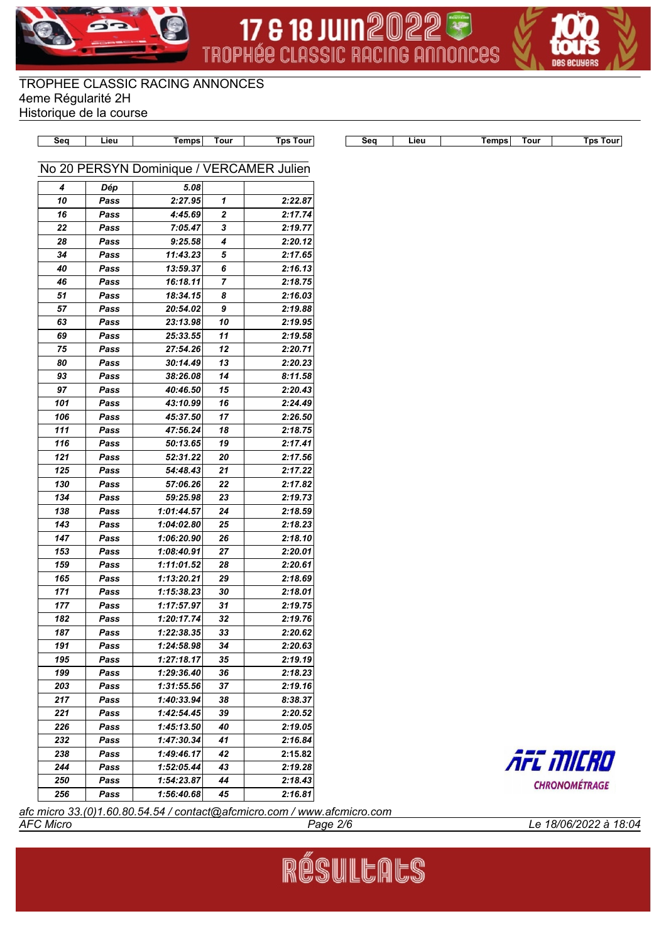





TROPHEE CLASSIC RACING ANNONCES 4eme Régularité 2H Historique de la course

| No 20 PERSYN Dominique / VERCAMER Julien<br>$\boldsymbol{4}$<br>5.08<br>Dép<br>10<br>2:27.95<br>1<br>2:22.87<br>Pass<br>2<br>16<br>4:45.69<br>2:17.74<br>Pass<br>$\bf 22$<br>7:05.47<br>3<br>2:19.77<br>Pass<br>28<br>9:25.58<br>4<br>2:20.12<br>Pass<br>5<br>34<br>11:43.23<br>2:17.65<br>Pass<br>13:59.37<br>6<br>40<br>2:16.13<br>Pass<br>46<br>16:18.11<br>7<br>2:18.75<br>Pass<br>51<br>18:34.15<br>8<br>2:16.03<br>Pass<br>20:54.02<br>57<br>9<br>2:19.88<br>Pass<br>23:13.98<br>63<br>10<br>2:19.95<br>Pass<br>69<br>25:33.55<br>11<br>2:19.58<br>Pass<br>75<br>27:54.26<br>12<br>2:20.71<br>Pass<br>30:14.49<br>80<br>13<br>2:20.23<br>Pass<br>93<br>38:26.08<br>14<br>8:11.58<br>Pass<br>97<br>40:46.50<br>15<br>2:20.43<br>Pass<br>101<br>43:10.99<br>16<br>2:24.49<br>Pass<br>45:37.50<br>106<br>17<br>2:26.50<br>Pass<br>111<br>47:56.24<br>18<br>2:18.75<br>Pass<br>116<br>50:13.65<br>19<br>2:17.41<br>Pass<br>121<br>52:31.22<br>20<br>2:17.56<br>Pass<br>125<br>54:48.43<br>21<br>2:17.22<br>Pass<br>130<br>57:06.26<br>Pass<br>22<br>2:17.82<br>134<br>59:25.98<br>23<br>2:19.73<br>Pass<br>138<br>1:01:44.57<br>2:18.59<br>Pass<br>24<br>143<br>2:18.23<br>Pass<br>1:04:02.80<br>25<br>147<br>1:06:20.90<br>26<br>2:18.10<br>Pass<br>153<br>2:20.01<br>Pass<br>1:08:40.91<br>27<br>159<br>1:11:01.52<br>28<br>2:20.61<br>Pass<br>165<br>29<br>2:18.69<br>Pass<br>1:13:20.21<br>171<br>1:15:38.23<br>30<br>2:18.01<br>Pass<br>177<br>2:19.75<br>Pass<br>1:17:57.97<br>31<br>182<br>1:20:17.74<br>32<br>2:19.76<br>Pass<br>187<br>33<br>1:22:38.35<br>2:20.62<br>Pass<br>191<br>1:24:58.98<br>2:20.63<br>34<br>Pass<br>195<br>1:27:18.17<br>35<br>2:19.19<br>Pass<br>199<br>36<br>2:18.23<br>1:29:36.40<br>Pass<br>37<br>203<br>1:31:55.56<br>2:19.16<br>Pass<br>217<br>1:40:33.94<br>38<br>8:38.37<br>Pass<br>221<br>1:42:54.45<br>39<br>2:20.52<br>Pass<br>226<br>1:45:13.50<br>2:19.05<br>Pass<br>40 | Seq | Lieu | <b>Temps</b> | <b>Tour</b> | <b>Tps Tour</b> | Seq | Lieu | <b>Temps</b> | <b>Tour</b><br><b>Tps Tour</b> |
|-------------------------------------------------------------------------------------------------------------------------------------------------------------------------------------------------------------------------------------------------------------------------------------------------------------------------------------------------------------------------------------------------------------------------------------------------------------------------------------------------------------------------------------------------------------------------------------------------------------------------------------------------------------------------------------------------------------------------------------------------------------------------------------------------------------------------------------------------------------------------------------------------------------------------------------------------------------------------------------------------------------------------------------------------------------------------------------------------------------------------------------------------------------------------------------------------------------------------------------------------------------------------------------------------------------------------------------------------------------------------------------------------------------------------------------------------------------------------------------------------------------------------------------------------------------------------------------------------------------------------------------------------------------------------------------------------------------------------------------------------------------------------------------------------------------------------------------------------------------------------------------------------------------------------|-----|------|--------------|-------------|-----------------|-----|------|--------------|--------------------------------|
|                                                                                                                                                                                                                                                                                                                                                                                                                                                                                                                                                                                                                                                                                                                                                                                                                                                                                                                                                                                                                                                                                                                                                                                                                                                                                                                                                                                                                                                                                                                                                                                                                                                                                                                                                                                                                                                                                                                         |     |      |              |             |                 |     |      |              |                                |
|                                                                                                                                                                                                                                                                                                                                                                                                                                                                                                                                                                                                                                                                                                                                                                                                                                                                                                                                                                                                                                                                                                                                                                                                                                                                                                                                                                                                                                                                                                                                                                                                                                                                                                                                                                                                                                                                                                                         |     |      |              |             |                 |     |      |              |                                |
|                                                                                                                                                                                                                                                                                                                                                                                                                                                                                                                                                                                                                                                                                                                                                                                                                                                                                                                                                                                                                                                                                                                                                                                                                                                                                                                                                                                                                                                                                                                                                                                                                                                                                                                                                                                                                                                                                                                         |     |      |              |             |                 |     |      |              |                                |
|                                                                                                                                                                                                                                                                                                                                                                                                                                                                                                                                                                                                                                                                                                                                                                                                                                                                                                                                                                                                                                                                                                                                                                                                                                                                                                                                                                                                                                                                                                                                                                                                                                                                                                                                                                                                                                                                                                                         |     |      |              |             |                 |     |      |              |                                |
|                                                                                                                                                                                                                                                                                                                                                                                                                                                                                                                                                                                                                                                                                                                                                                                                                                                                                                                                                                                                                                                                                                                                                                                                                                                                                                                                                                                                                                                                                                                                                                                                                                                                                                                                                                                                                                                                                                                         |     |      |              |             |                 |     |      |              |                                |
|                                                                                                                                                                                                                                                                                                                                                                                                                                                                                                                                                                                                                                                                                                                                                                                                                                                                                                                                                                                                                                                                                                                                                                                                                                                                                                                                                                                                                                                                                                                                                                                                                                                                                                                                                                                                                                                                                                                         |     |      |              |             |                 |     |      |              |                                |
|                                                                                                                                                                                                                                                                                                                                                                                                                                                                                                                                                                                                                                                                                                                                                                                                                                                                                                                                                                                                                                                                                                                                                                                                                                                                                                                                                                                                                                                                                                                                                                                                                                                                                                                                                                                                                                                                                                                         |     |      |              |             |                 |     |      |              |                                |
|                                                                                                                                                                                                                                                                                                                                                                                                                                                                                                                                                                                                                                                                                                                                                                                                                                                                                                                                                                                                                                                                                                                                                                                                                                                                                                                                                                                                                                                                                                                                                                                                                                                                                                                                                                                                                                                                                                                         |     |      |              |             |                 |     |      |              |                                |
|                                                                                                                                                                                                                                                                                                                                                                                                                                                                                                                                                                                                                                                                                                                                                                                                                                                                                                                                                                                                                                                                                                                                                                                                                                                                                                                                                                                                                                                                                                                                                                                                                                                                                                                                                                                                                                                                                                                         |     |      |              |             |                 |     |      |              |                                |
|                                                                                                                                                                                                                                                                                                                                                                                                                                                                                                                                                                                                                                                                                                                                                                                                                                                                                                                                                                                                                                                                                                                                                                                                                                                                                                                                                                                                                                                                                                                                                                                                                                                                                                                                                                                                                                                                                                                         |     |      |              |             |                 |     |      |              |                                |
|                                                                                                                                                                                                                                                                                                                                                                                                                                                                                                                                                                                                                                                                                                                                                                                                                                                                                                                                                                                                                                                                                                                                                                                                                                                                                                                                                                                                                                                                                                                                                                                                                                                                                                                                                                                                                                                                                                                         |     |      |              |             |                 |     |      |              |                                |
|                                                                                                                                                                                                                                                                                                                                                                                                                                                                                                                                                                                                                                                                                                                                                                                                                                                                                                                                                                                                                                                                                                                                                                                                                                                                                                                                                                                                                                                                                                                                                                                                                                                                                                                                                                                                                                                                                                                         |     |      |              |             |                 |     |      |              |                                |
|                                                                                                                                                                                                                                                                                                                                                                                                                                                                                                                                                                                                                                                                                                                                                                                                                                                                                                                                                                                                                                                                                                                                                                                                                                                                                                                                                                                                                                                                                                                                                                                                                                                                                                                                                                                                                                                                                                                         |     |      |              |             |                 |     |      |              |                                |
|                                                                                                                                                                                                                                                                                                                                                                                                                                                                                                                                                                                                                                                                                                                                                                                                                                                                                                                                                                                                                                                                                                                                                                                                                                                                                                                                                                                                                                                                                                                                                                                                                                                                                                                                                                                                                                                                                                                         |     |      |              |             |                 |     |      |              |                                |
|                                                                                                                                                                                                                                                                                                                                                                                                                                                                                                                                                                                                                                                                                                                                                                                                                                                                                                                                                                                                                                                                                                                                                                                                                                                                                                                                                                                                                                                                                                                                                                                                                                                                                                                                                                                                                                                                                                                         |     |      |              |             |                 |     |      |              |                                |
|                                                                                                                                                                                                                                                                                                                                                                                                                                                                                                                                                                                                                                                                                                                                                                                                                                                                                                                                                                                                                                                                                                                                                                                                                                                                                                                                                                                                                                                                                                                                                                                                                                                                                                                                                                                                                                                                                                                         |     |      |              |             |                 |     |      |              |                                |
|                                                                                                                                                                                                                                                                                                                                                                                                                                                                                                                                                                                                                                                                                                                                                                                                                                                                                                                                                                                                                                                                                                                                                                                                                                                                                                                                                                                                                                                                                                                                                                                                                                                                                                                                                                                                                                                                                                                         |     |      |              |             |                 |     |      |              |                                |
|                                                                                                                                                                                                                                                                                                                                                                                                                                                                                                                                                                                                                                                                                                                                                                                                                                                                                                                                                                                                                                                                                                                                                                                                                                                                                                                                                                                                                                                                                                                                                                                                                                                                                                                                                                                                                                                                                                                         |     |      |              |             |                 |     |      |              |                                |
|                                                                                                                                                                                                                                                                                                                                                                                                                                                                                                                                                                                                                                                                                                                                                                                                                                                                                                                                                                                                                                                                                                                                                                                                                                                                                                                                                                                                                                                                                                                                                                                                                                                                                                                                                                                                                                                                                                                         |     |      |              |             |                 |     |      |              |                                |
|                                                                                                                                                                                                                                                                                                                                                                                                                                                                                                                                                                                                                                                                                                                                                                                                                                                                                                                                                                                                                                                                                                                                                                                                                                                                                                                                                                                                                                                                                                                                                                                                                                                                                                                                                                                                                                                                                                                         |     |      |              |             |                 |     |      |              |                                |
|                                                                                                                                                                                                                                                                                                                                                                                                                                                                                                                                                                                                                                                                                                                                                                                                                                                                                                                                                                                                                                                                                                                                                                                                                                                                                                                                                                                                                                                                                                                                                                                                                                                                                                                                                                                                                                                                                                                         |     |      |              |             |                 |     |      |              |                                |
|                                                                                                                                                                                                                                                                                                                                                                                                                                                                                                                                                                                                                                                                                                                                                                                                                                                                                                                                                                                                                                                                                                                                                                                                                                                                                                                                                                                                                                                                                                                                                                                                                                                                                                                                                                                                                                                                                                                         |     |      |              |             |                 |     |      |              |                                |
|                                                                                                                                                                                                                                                                                                                                                                                                                                                                                                                                                                                                                                                                                                                                                                                                                                                                                                                                                                                                                                                                                                                                                                                                                                                                                                                                                                                                                                                                                                                                                                                                                                                                                                                                                                                                                                                                                                                         |     |      |              |             |                 |     |      |              |                                |
|                                                                                                                                                                                                                                                                                                                                                                                                                                                                                                                                                                                                                                                                                                                                                                                                                                                                                                                                                                                                                                                                                                                                                                                                                                                                                                                                                                                                                                                                                                                                                                                                                                                                                                                                                                                                                                                                                                                         |     |      |              |             |                 |     |      |              |                                |
|                                                                                                                                                                                                                                                                                                                                                                                                                                                                                                                                                                                                                                                                                                                                                                                                                                                                                                                                                                                                                                                                                                                                                                                                                                                                                                                                                                                                                                                                                                                                                                                                                                                                                                                                                                                                                                                                                                                         |     |      |              |             |                 |     |      |              |                                |
|                                                                                                                                                                                                                                                                                                                                                                                                                                                                                                                                                                                                                                                                                                                                                                                                                                                                                                                                                                                                                                                                                                                                                                                                                                                                                                                                                                                                                                                                                                                                                                                                                                                                                                                                                                                                                                                                                                                         |     |      |              |             |                 |     |      |              |                                |
|                                                                                                                                                                                                                                                                                                                                                                                                                                                                                                                                                                                                                                                                                                                                                                                                                                                                                                                                                                                                                                                                                                                                                                                                                                                                                                                                                                                                                                                                                                                                                                                                                                                                                                                                                                                                                                                                                                                         |     |      |              |             |                 |     |      |              |                                |
|                                                                                                                                                                                                                                                                                                                                                                                                                                                                                                                                                                                                                                                                                                                                                                                                                                                                                                                                                                                                                                                                                                                                                                                                                                                                                                                                                                                                                                                                                                                                                                                                                                                                                                                                                                                                                                                                                                                         |     |      |              |             |                 |     |      |              |                                |
|                                                                                                                                                                                                                                                                                                                                                                                                                                                                                                                                                                                                                                                                                                                                                                                                                                                                                                                                                                                                                                                                                                                                                                                                                                                                                                                                                                                                                                                                                                                                                                                                                                                                                                                                                                                                                                                                                                                         |     |      |              |             |                 |     |      |              |                                |
|                                                                                                                                                                                                                                                                                                                                                                                                                                                                                                                                                                                                                                                                                                                                                                                                                                                                                                                                                                                                                                                                                                                                                                                                                                                                                                                                                                                                                                                                                                                                                                                                                                                                                                                                                                                                                                                                                                                         |     |      |              |             |                 |     |      |              |                                |
|                                                                                                                                                                                                                                                                                                                                                                                                                                                                                                                                                                                                                                                                                                                                                                                                                                                                                                                                                                                                                                                                                                                                                                                                                                                                                                                                                                                                                                                                                                                                                                                                                                                                                                                                                                                                                                                                                                                         |     |      |              |             |                 |     |      |              |                                |
|                                                                                                                                                                                                                                                                                                                                                                                                                                                                                                                                                                                                                                                                                                                                                                                                                                                                                                                                                                                                                                                                                                                                                                                                                                                                                                                                                                                                                                                                                                                                                                                                                                                                                                                                                                                                                                                                                                                         |     |      |              |             |                 |     |      |              |                                |
|                                                                                                                                                                                                                                                                                                                                                                                                                                                                                                                                                                                                                                                                                                                                                                                                                                                                                                                                                                                                                                                                                                                                                                                                                                                                                                                                                                                                                                                                                                                                                                                                                                                                                                                                                                                                                                                                                                                         |     |      |              |             |                 |     |      |              |                                |
|                                                                                                                                                                                                                                                                                                                                                                                                                                                                                                                                                                                                                                                                                                                                                                                                                                                                                                                                                                                                                                                                                                                                                                                                                                                                                                                                                                                                                                                                                                                                                                                                                                                                                                                                                                                                                                                                                                                         |     |      |              |             |                 |     |      |              |                                |
|                                                                                                                                                                                                                                                                                                                                                                                                                                                                                                                                                                                                                                                                                                                                                                                                                                                                                                                                                                                                                                                                                                                                                                                                                                                                                                                                                                                                                                                                                                                                                                                                                                                                                                                                                                                                                                                                                                                         |     |      |              |             |                 |     |      |              |                                |
|                                                                                                                                                                                                                                                                                                                                                                                                                                                                                                                                                                                                                                                                                                                                                                                                                                                                                                                                                                                                                                                                                                                                                                                                                                                                                                                                                                                                                                                                                                                                                                                                                                                                                                                                                                                                                                                                                                                         |     |      |              |             |                 |     |      |              |                                |
|                                                                                                                                                                                                                                                                                                                                                                                                                                                                                                                                                                                                                                                                                                                                                                                                                                                                                                                                                                                                                                                                                                                                                                                                                                                                                                                                                                                                                                                                                                                                                                                                                                                                                                                                                                                                                                                                                                                         |     |      |              |             |                 |     |      |              |                                |
|                                                                                                                                                                                                                                                                                                                                                                                                                                                                                                                                                                                                                                                                                                                                                                                                                                                                                                                                                                                                                                                                                                                                                                                                                                                                                                                                                                                                                                                                                                                                                                                                                                                                                                                                                                                                                                                                                                                         |     |      |              |             |                 |     |      |              |                                |
|                                                                                                                                                                                                                                                                                                                                                                                                                                                                                                                                                                                                                                                                                                                                                                                                                                                                                                                                                                                                                                                                                                                                                                                                                                                                                                                                                                                                                                                                                                                                                                                                                                                                                                                                                                                                                                                                                                                         |     |      |              |             |                 |     |      |              |                                |
|                                                                                                                                                                                                                                                                                                                                                                                                                                                                                                                                                                                                                                                                                                                                                                                                                                                                                                                                                                                                                                                                                                                                                                                                                                                                                                                                                                                                                                                                                                                                                                                                                                                                                                                                                                                                                                                                                                                         |     |      |              |             |                 |     |      |              |                                |
|                                                                                                                                                                                                                                                                                                                                                                                                                                                                                                                                                                                                                                                                                                                                                                                                                                                                                                                                                                                                                                                                                                                                                                                                                                                                                                                                                                                                                                                                                                                                                                                                                                                                                                                                                                                                                                                                                                                         |     |      |              |             |                 |     |      |              |                                |
|                                                                                                                                                                                                                                                                                                                                                                                                                                                                                                                                                                                                                                                                                                                                                                                                                                                                                                                                                                                                                                                                                                                                                                                                                                                                                                                                                                                                                                                                                                                                                                                                                                                                                                                                                                                                                                                                                                                         |     |      |              |             |                 |     |      |              |                                |
|                                                                                                                                                                                                                                                                                                                                                                                                                                                                                                                                                                                                                                                                                                                                                                                                                                                                                                                                                                                                                                                                                                                                                                                                                                                                                                                                                                                                                                                                                                                                                                                                                                                                                                                                                                                                                                                                                                                         |     |      |              |             |                 |     |      |              |                                |
| 232<br>1:47:30.34<br>41<br>2:16.84<br>Pass                                                                                                                                                                                                                                                                                                                                                                                                                                                                                                                                                                                                                                                                                                                                                                                                                                                                                                                                                                                                                                                                                                                                                                                                                                                                                                                                                                                                                                                                                                                                                                                                                                                                                                                                                                                                                                                                              |     |      |              |             |                 |     |      |              |                                |
| 238<br>1:49:46.17<br>2:15.82<br>Pass<br>42<br>AFC MICRO                                                                                                                                                                                                                                                                                                                                                                                                                                                                                                                                                                                                                                                                                                                                                                                                                                                                                                                                                                                                                                                                                                                                                                                                                                                                                                                                                                                                                                                                                                                                                                                                                                                                                                                                                                                                                                                                 |     |      |              |             |                 |     |      |              |                                |
| 244<br>1:52:05.44<br>2:19.28<br>Pass<br>43                                                                                                                                                                                                                                                                                                                                                                                                                                                                                                                                                                                                                                                                                                                                                                                                                                                                                                                                                                                                                                                                                                                                                                                                                                                                                                                                                                                                                                                                                                                                                                                                                                                                                                                                                                                                                                                                              |     |      |              |             |                 |     |      |              |                                |
| 250<br>1:54:23.87<br>2:18.43<br>Pass<br>44<br><b>CHRONOMÉTRAGE</b>                                                                                                                                                                                                                                                                                                                                                                                                                                                                                                                                                                                                                                                                                                                                                                                                                                                                                                                                                                                                                                                                                                                                                                                                                                                                                                                                                                                                                                                                                                                                                                                                                                                                                                                                                                                                                                                      |     |      |              |             |                 |     |      |              |                                |
| 256<br>1:56:40.68<br>2:16.81<br>Pass<br>45                                                                                                                                                                                                                                                                                                                                                                                                                                                                                                                                                                                                                                                                                                                                                                                                                                                                                                                                                                                                                                                                                                                                                                                                                                                                                                                                                                                                                                                                                                                                                                                                                                                                                                                                                                                                                                                                              |     |      |              |             |                 |     |      |              |                                |

|  | AFC MICRO            |  |
|--|----------------------|--|
|  | <b>CHRONOMÉTRAGE</b> |  |

*AFC Micro Page 2/6 Le 18/06/2022 à 18:04 afc micro 33.(0)1.60.80.54.54 / contact@afcmicro.com / www.afcmicro.com*

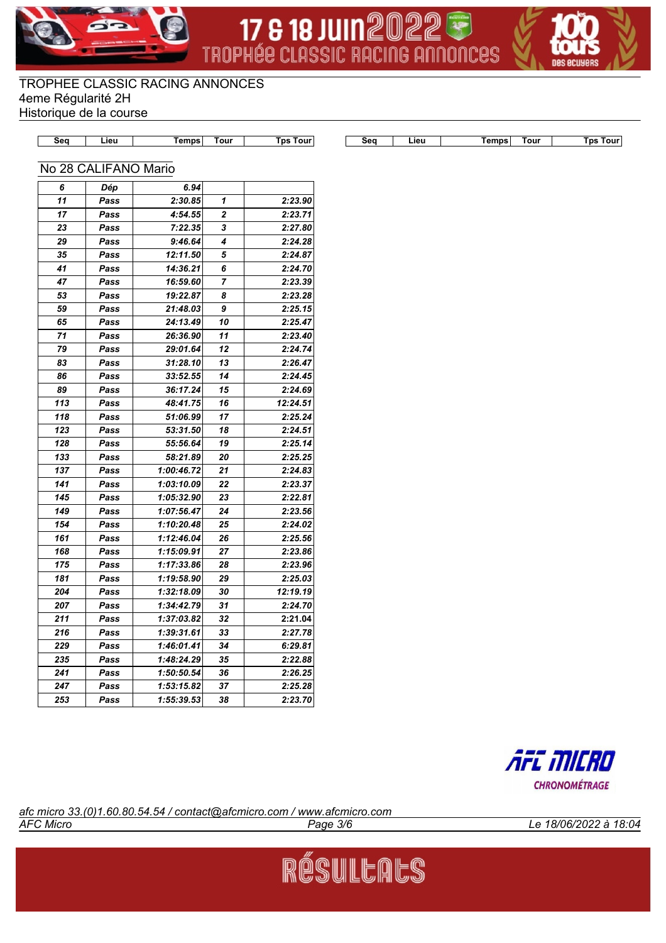





| $\sim$ | nns | our |  |
|--------|-----|-----|--|

**Seq Lieu Temps Tour Tps Tour Seq Lieu Temps Tour Tps Tour**

|  | No 28 CALIFANO Mario |  |
|--|----------------------|--|

| 6   | Dép  | 6.94       |                |          |
|-----|------|------------|----------------|----------|
| 11  | Pass | 2:30.85    | 1              | 2:23.90  |
| 17  | Pass | 4:54.55    | $\overline{2}$ | 2:23.71  |
| 23  | Pass | 7:22.35    | 3              | 2:27.80  |
| 29  | Pass | 9:46.64    | 4              | 2:24.28  |
| 35  | Pass | 12:11.50   | 5              | 2:24.87  |
| 41  | Pass | 14:36.21   | 6              | 2:24.70  |
| 47  | Pass | 16:59.60   | 7              | 2:23.39  |
| 53  | Pass | 19:22.87   | 8              | 2:23.28  |
| 59  | Pass | 21:48.03   | 9              | 2:25.15  |
| 65  | Pass | 24:13.49   | 10             | 2:25.47  |
| 71  | Pass | 26:36.90   | 11             | 2:23.40  |
| 79  | Pass | 29:01.64   | 12             | 2:24.74  |
| 83  | Pass | 31:28.10   | 13             | 2:26.47  |
| 86  | Pass | 33:52.55   | 14             | 2:24.45  |
| 89  | Pass | 36:17.24   | 15             | 2:24.69  |
| 113 | Pass | 48:41.75   | 16             | 12:24.51 |
| 118 | Pass | 51:06.99   | 17             | 2:25.24  |
| 123 | Pass | 53:31.50   | 18             | 2:24.51  |
| 128 | Pass | 55:56.64   | 19             | 2:25.14  |
| 133 | Pass | 58:21.89   | 20             | 2:25.25  |
| 137 | Pass | 1:00:46.72 | 21             | 2:24.83  |
| 141 | Pass | 1:03:10.09 | 22             | 2:23.37  |
| 145 | Pass | 1:05:32.90 | 23             | 2:22.81  |
| 149 | Pass | 1:07:56.47 | 24             | 2:23.56  |
| 154 | Pass | 1:10:20.48 | 25             | 2:24.02  |
| 161 | Pass | 1:12:46.04 | 26             | 2:25.56  |
| 168 | Pass | 1:15:09.91 | 27             | 2:23.86  |
| 175 | Pass | 1:17:33.86 | 28             | 2:23.96  |
| 181 | Pass | 1:19:58.90 | 29             | 2:25.03  |
| 204 | Pass | 1:32:18.09 | 30             | 12:19.19 |
| 207 | Pass | 1:34:42.79 | 31             | 2:24.70  |
| 211 | Pass | 1:37:03.82 | 32             | 2:21.04  |
| 216 | Pass | 1:39:31.61 | 33             | 2:27.78  |
| 229 | Pass | 1:46:01.41 | 34             | 6:29.81  |
| 235 | Pass | 1:48:24.29 | 35             | 2:22.88  |
| 241 | Pass | 1:50:50.54 | 36             | 2:26.25  |
| 247 | Pass | 1:53:15.82 | 37             | 2:25.28  |
| 253 | Pass | 1:55:39.53 | 38             | 2:23.70  |



*AFC Micro Page 3/6 Le 18/06/2022 à 18:04 afc micro 33.(0)1.60.80.54.54 / contact@afcmicro.com / www.afcmicro.com*

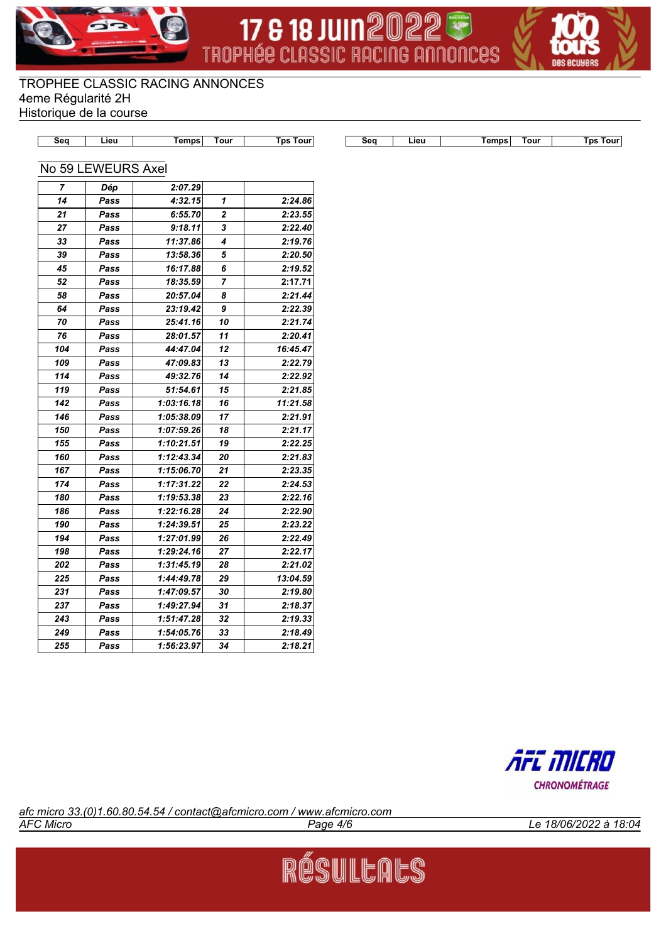





|  | ا اهi | $\sim$ $  -$<br>ns<br>---- | วur |  |
|--|-------|----------------------------|-----|--|

**Seq Lieu Temps Tour Tps Tour Seq Lieu Temps Tour Tps Tour**

#### No 59 LEWEURS Axel

| 7   | Dép  | 2:07.29    |    |          |
|-----|------|------------|----|----------|
| 14  | Pass | 4:32.15    | 1  | 2:24.86  |
| 21  | Pass | 6:55.70    | 2  | 2:23.55  |
| 27  | Pass | 9:18.11    | 3  | 2:22.40  |
| 33  | Pass | 11:37.86   | 4  | 2:19.76  |
| 39  | Pass | 13:58.36   | 5  | 2:20.50  |
| 45  | Pass | 16:17.88   | 6  | 2:19.52  |
| 52  | Pass | 18:35.59   | 7  | 2:17.71  |
| 58  | Pass | 20:57.04   | 8  | 2:21.44  |
| 64  | Pass | 23:19.42   | 9  | 2:22.39  |
| 70  | Pass | 25:41.16   | 10 | 2:21.74  |
| 76  | Pass | 28:01.57   | 11 | 2:20.41  |
| 104 | Pass | 44:47.04   | 12 | 16:45.47 |
| 109 | Pass | 47:09.83   | 13 | 2:22.79  |
| 114 | Pass | 49:32.76   | 14 | 2:22.92  |
| 119 | Pass | 51:54.61   | 15 | 2:21.85  |
| 142 | Pass | 1:03:16.18 | 16 | 11:21.58 |
| 146 | Pass | 1:05:38.09 | 17 | 2:21.91  |
| 150 | Pass | 1:07:59.26 | 18 | 2:21.17  |
| 155 | Pass | 1:10:21.51 | 19 | 2:22.25  |
| 160 | Pass | 1:12:43.34 | 20 | 2:21.83  |
| 167 | Pass | 1:15:06.70 | 21 | 2:23.35  |
| 174 | Pass | 1:17:31.22 | 22 | 2:24.53  |
| 180 | Pass | 1:19:53.38 | 23 | 2:22.16  |
| 186 | Pass | 1:22:16.28 | 24 | 2:22.90  |
| 190 | Pass | 1:24:39.51 | 25 | 2:23.22  |
| 194 | Pass | 1:27:01.99 | 26 | 2:22.49  |
| 198 | Pass | 1:29:24.16 | 27 | 2:22.17  |
| 202 | Pass | 1:31:45.19 | 28 | 2:21.02  |
| 225 | Pass | 1:44:49.78 | 29 | 13:04.59 |
| 231 | Pass | 1:47:09.57 | 30 | 2:19.80  |
| 237 | Pass | 1:49:27.94 | 31 | 2:18.37  |
| 243 | Pass | 1:51:47.28 | 32 | 2:19.33  |
| 249 | Pass | 1:54:05.76 | 33 | 2:18.49  |
| 255 | Pass | 1:56:23.97 | 34 | 2:18.21  |



*AFC Micro Page 4/6 Le 18/06/2022 à 18:04 afc micro 33.(0)1.60.80.54.54 / contact@afcmicro.com / www.afcmicro.com*

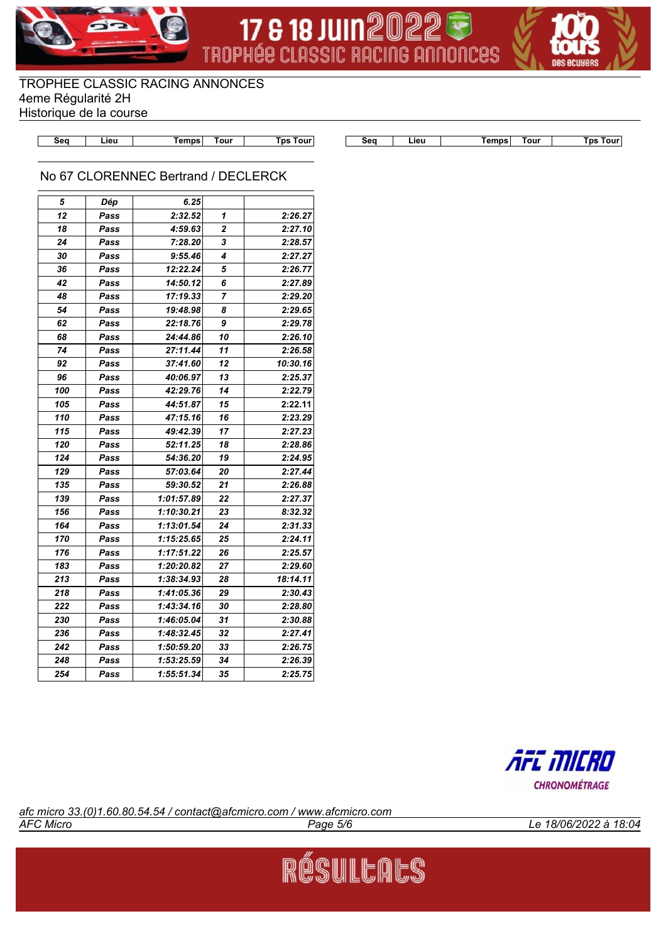





|  | nur |  |
|--|-----|--|

**Seq Lieu Temps Tour Tps Tour Seq Lieu Temps Tour Tps Tour**

## No 67 CLORENNEC Bertrand / DECLERCK

| 5   | Dép  | 6.25       |    |          |
|-----|------|------------|----|----------|
| 12  | Pass | 2:32.52    | 1  | 2:26.27  |
| 18  | Pass | 4:59.63    | 2  | 2:27.10  |
| 24  | Pass | 7:28.20    | 3  | 2:28.57  |
| 30  | Pass | 9:55.46    | 4  | 2:27.27  |
| 36  | Pass | 12:22.24   | 5  | 2:26.77  |
| 42  | Pass | 14:50.12   | 6  | 2:27.89  |
| 48  | Pass | 17:19.33   | 7  | 2:29.20  |
| 54  | Pass | 19:48.98   | 8  | 2:29.65  |
| 62  | Pass | 22:18.76   | 9  | 2:29.78  |
| 68  | Pass | 24:44.86   | 10 | 2:26.10  |
| 74  | Pass | 27:11.44   | 11 | 2:26.58  |
| 92  | Pass | 37:41.60   | 12 | 10:30.16 |
| 96  | Pass | 40:06.97   | 13 | 2:25.37  |
| 100 | Pass | 42:29.76   | 14 | 2:22.79  |
| 105 | Pass | 44:51.87   | 15 | 2:22.11  |
| 110 | Pass | 47:15.16   | 16 | 2:23.29  |
| 115 | Pass | 49:42.39   | 17 | 2:27.23  |
| 120 | Pass | 52:11.25   | 18 | 2:28.86  |
| 124 | Pass | 54:36.20   | 19 | 2:24.95  |
| 129 | Pass | 57:03.64   | 20 | 2:27.44  |
| 135 | Pass | 59:30.52   | 21 | 2:26.88  |
| 139 | Pass | 1:01:57.89 | 22 | 2:27.37  |
| 156 | Pass | 1:10:30.21 | 23 | 8:32.32  |
| 164 | Pass | 1:13:01.54 | 24 | 2:31.33  |
| 170 | Pass | 1:15:25.65 | 25 | 2:24.11  |
| 176 | Pass | 1:17:51.22 | 26 | 2:25.57  |
| 183 | Pass | 1:20:20.82 | 27 | 2:29.60  |
| 213 | Pass | 1:38:34.93 | 28 | 18:14.11 |
| 218 | Pass | 1:41:05.36 | 29 | 2:30.43  |
| 222 | Pass | 1:43:34.16 | 30 | 2:28.80  |
| 230 | Pass | 1:46:05.04 | 31 | 2:30.88  |
| 236 | Pass | 1:48:32.45 | 32 | 2:27.41  |
| 242 | Pass | 1:50:59.20 | 33 | 2:26.75  |
| 248 | Pass | 1:53:25.59 | 34 | 2:26.39  |
| 254 | Pass | 1:55:51.34 | 35 | 2:25.75  |



*AFC Micro Page 5/6 Le 18/06/2022 à 18:04 afc micro 33.(0)1.60.80.54.54 / contact@afcmicro.com / www.afcmicro.com*